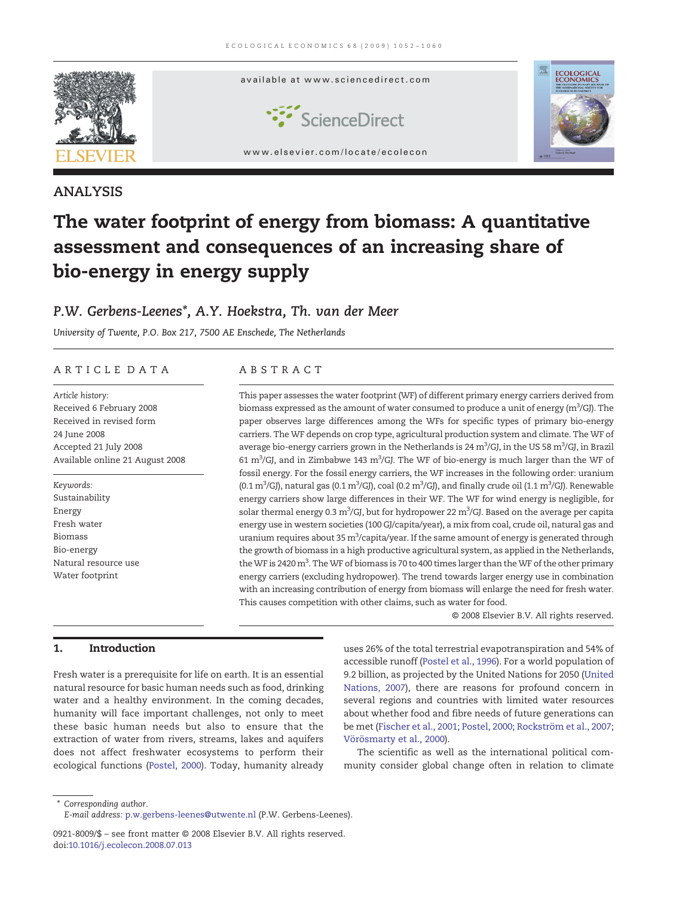

# ANALYSIS

# The water footprint of energy from biomass: A quantitative assessment and consequences of an increasing share of bio-energy in energy supply

# P.W. Gerbens-Leenes\*, A.Y. Hoekstra, Th. van der Meer

University of Twente, P.O. Box 217, 7500 AE Enschede, The Netherlands

# ARTICLE DATA ABSTRACT

Article history: Received 6 February 2008 Received in revised form 24 June 2008 Accepted 21 July 2008 Available online 21 August 2008

Keywords: Sustainability Energy Fresh water Biomass Bio-energy Natural resource use Water footprint

This paper assesses the water footprint (WF) of different primary energy carriers derived from biomass expressed as the amount of water consumed to produce a unit of energy (m $\mathrm{^{3}/}$ GJ). The paper observes large differences among the WFs for specific types of primary bio-energy carriers. The WF depends on crop type, agricultural production system and climate. The WF of average bio-energy carriers grown in the Netherlands is 24 m<sup>3</sup>/GJ, in the US 58 m<sup>3</sup>/GJ, in Brazil 61 m<sup>3</sup>/GJ, and in Zimbabwe 143 m<sup>3</sup>/GJ. The WF of bio-energy is much larger than the WF of fossil energy. For the fossil energy carriers, the WF increases in the following order: uranium (0.1 m $^3$ /GJ), natural gas (0.1 m $^3$ /GJ), coal (0.2 m $^3$ /GJ), and finally crude oil (1.1 m $^3$ /GJ). Renewable energy carriers show large differences in their WF. The WF for wind energy is negligible, for solar thermal energy 0.3 m $^3$ /GJ, but for hydropower 22 m $^3$ /GJ. Based on the average per capita energy use in western societies (100 GJ/capita/year), a mix from coal, crude oil, natural gas and uranium requires about 35 m $^3$ /capita/year. If the same amount of energy is generated through the growth of biomass in a high productive agricultural system, as applied in the Netherlands, the WF is 2420 m<sup>3</sup>. The WF of biomass is 70 to 400 times larger than the WF of the other primary energy carriers (excluding hydropower). The trend towards larger energy use in combination with an increasing contribution of energy from biomass will enlarge the need for fresh water. This causes competition with other claims, such as water for food.

© 2008 Elsevier B.V. All rights reserved.

# 1. Introduction

Fresh water is a prerequisite for life on earth. It is an essential natural resource for basic human needs such as food, drinking water and a healthy environment. In the coming decades, humanity will face important challenges, not only to meet these basic human needs but also to ensure that the extraction of water from rivers, streams, lakes and aquifers does not affect freshwater ecosystems to perform their ecological functions ([Postel, 2000](#page-8-0)). Today, humanity already uses 26% of the total terrestrial evapotranspiration and 54% of accessible runoff ([Postel et al., 1996](#page-8-0)). For a world population of 9.2 billion, as projected by the United Nations for 2050 [\(United](#page-8-0) [Nations, 2007\)](#page-8-0), there are reasons for profound concern in several regions and countries with limited water resources about whether food and fibre needs of future generations can be met ([Fischer et al., 2001; Postel, 2000; Rockström et al., 2007;](#page-7-0) [Vörösmarty et al., 2000\)](#page-7-0).

The scientific as well as the international political community consider global change often in relation to climate

⁎ Corresponding author.

E-mail address: [p.w.gerbens-leenes@utwente.nl](mailto:p.w.gerbens-leenes@utwente.nl) (P.W. Gerbens-Leenes).

<sup>0921-8009/\$</sup> – see front matter © 2008 Elsevier B.V. All rights reserved. doi:[10.1016/j.ecolecon.2008.07.013](http://dx.doi.org/10.1016/j.ecolecon.2008.07.013)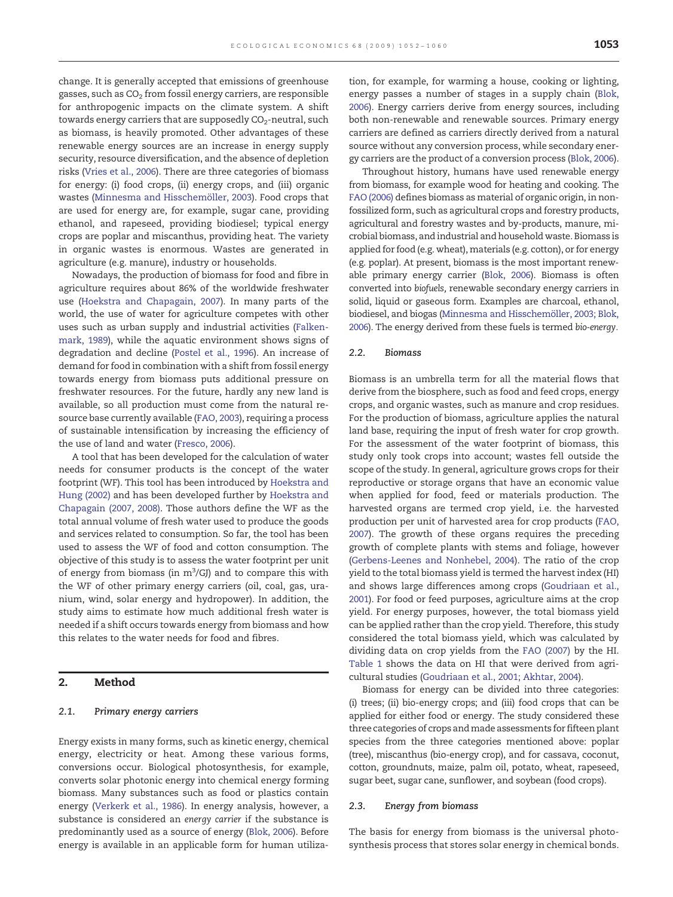change. It is generally accepted that emissions of greenhouse gasses, such as  $CO<sub>2</sub>$  from fossil energy carriers, are responsible for anthropogenic impacts on the climate system. A shift towards energy carriers that are supposedly CO<sub>2</sub>-neutral, such as biomass, is heavily promoted. Other advantages of these renewable energy sources are an increase in energy supply security, resource diversification, and the absence of depletion risks ([Vries et al., 2006](#page-8-0)). There are three categories of biomass for energy: (i) food crops, (ii) energy crops, and (iii) organic wastes ([Minnesma and Hisschemöller, 2003\)](#page-8-0). Food crops that are used for energy are, for example, sugar cane, providing ethanol, and rapeseed, providing biodiesel; typical energy crops are poplar and miscanthus, providing heat. The variety in organic wastes is enormous. Wastes are generated in agriculture (e.g. manure), industry or households.

Nowadays, the production of biomass for food and fibre in agriculture requires about 86% of the worldwide freshwater use ([Hoekstra and Chapagain, 2007](#page-7-0)). In many parts of the world, the use of water for agriculture competes with other uses such as urban supply and industrial activities ([Falken](#page-7-0)[mark, 1989\)](#page-7-0), while the aquatic environment shows signs of degradation and decline [\(Postel et al., 1996\)](#page-8-0). An increase of demand for food in combination with a shift from fossil energy towards energy from biomass puts additional pressure on freshwater resources. For the future, hardly any new land is available, so all production must come from the natural resource base currently available [\(FAO, 2003\)](#page-7-0), requiring a process of sustainable intensification by increasing the efficiency of the use of land and water ([Fresco, 2006\)](#page-7-0).

A tool that has been developed for the calculation of water needs for consumer products is the concept of the water footprint (WF). This tool has been introduced by [Hoekstra and](#page-7-0) [Hung \(2002\)](#page-7-0) and has been developed further by [Hoekstra and](#page-7-0) [Chapagain \(2007, 2008\).](#page-7-0) Those authors define the WF as the total annual volume of fresh water used to produce the goods and services related to consumption. So far, the tool has been used to assess the WF of food and cotton consumption. The objective of this study is to assess the water footprint per unit of energy from biomass (in  $m^3/GJ$ ) and to compare this with the WF of other primary energy carriers (oil, coal, gas, uranium, wind, solar energy and hydropower). In addition, the study aims to estimate how much additional fresh water is needed if a shift occurs towards energy from biomass and how this relates to the water needs for food and fibres.

### 2. Method

#### 2.1. Primary energy carriers

Energy exists in many forms, such as kinetic energy, chemical energy, electricity or heat. Among these various forms, conversions occur. Biological photosynthesis, for example, converts solar photonic energy into chemical energy forming biomass. Many substances such as food or plastics contain energy [\(Verkerk et al., 1986\)](#page-8-0). In energy analysis, however, a substance is considered an energy carrier if the substance is predominantly used as a source of energy [\(Blok, 2006](#page-7-0)). Before energy is available in an applicable form for human utiliza-

tion, for example, for warming a house, cooking or lighting, energy passes a number of stages in a supply chain [\(Blok,](#page-7-0) [2006](#page-7-0)). Energy carriers derive from energy sources, including both non-renewable and renewable sources. Primary energy carriers are defined as carriers directly derived from a natural source without any conversion process, while secondary energy carriers are the product of a conversion process [\(Blok, 2006](#page-7-0)).

Throughout history, humans have used renewable energy from biomass, for example wood for heating and cooking. The [FAO \(2006\)](#page-7-0) defines biomass as material of organic origin, in nonfossilized form, such as agricultural crops and forestry products, agricultural and forestry wastes and by-products, manure, microbial biomass, and industrial and household waste. Biomass is applied for food (e.g. wheat), materials (e.g. cotton), or for energy (e.g. poplar). At present, biomass is the most important renewable primary energy carrier ([Blok, 2006\)](#page-7-0). Biomass is often converted into biofuels, renewable secondary energy carriers in solid, liquid or gaseous form. Examples are charcoal, ethanol, biodiesel, and biogas [\(Minnesma and Hisschemöller, 2003; Blok,](#page-8-0) [2006](#page-8-0)). The energy derived from these fuels is termed bio-energy.

#### 2.2. Biomass

Biomass is an umbrella term for all the material flows that derive from the biosphere, such as food and feed crops, energy crops, and organic wastes, such as manure and crop residues. For the production of biomass, agriculture applies the natural land base, requiring the input of fresh water for crop growth. For the assessment of the water footprint of biomass, this study only took crops into account; wastes fell outside the scope of the study. In general, agriculture grows crops for their reproductive or storage organs that have an economic value when applied for food, feed or materials production. The harvested organs are termed crop yield, i.e. the harvested production per unit of harvested area for crop products ([FAO,](#page-7-0) [2007](#page-7-0)). The growth of these organs requires the preceding growth of complete plants with stems and foliage, however [\(Gerbens-Leenes and Nonhebel, 2004\)](#page-7-0). The ratio of the crop yield to the total biomass yield is termed the harvest index (HI) and shows large differences among crops ([Goudriaan et al.,](#page-7-0) [2001](#page-7-0)). For food or feed purposes, agriculture aims at the crop yield. For energy purposes, however, the total biomass yield can be applied rather than the crop yield. Therefore, this study considered the total biomass yield, which was calculated by dividing data on crop yields from the [FAO \(2007\)](#page-7-0) by the HI. [Table 1](#page-2-0) shows the data on HI that were derived from agricultural studies [\(Goudriaan et al., 2001; Akhtar, 2004](#page-7-0)).

Biomass for energy can be divided into three categories: (i) trees; (ii) bio-energy crops; and (iii) food crops that can be applied for either food or energy. The study considered these three categories of crops andmade assessments for fifteen plant species from the three categories mentioned above: poplar (tree), miscanthus (bio-energy crop), and for cassava, coconut, cotton, groundnuts, maize, palm oil, potato, wheat, rapeseed, sugar beet, sugar cane, sunflower, and soybean (food crops).

#### 2.3. Energy from biomass

The basis for energy from biomass is the universal photosynthesis process that stores solar energy in chemical bonds.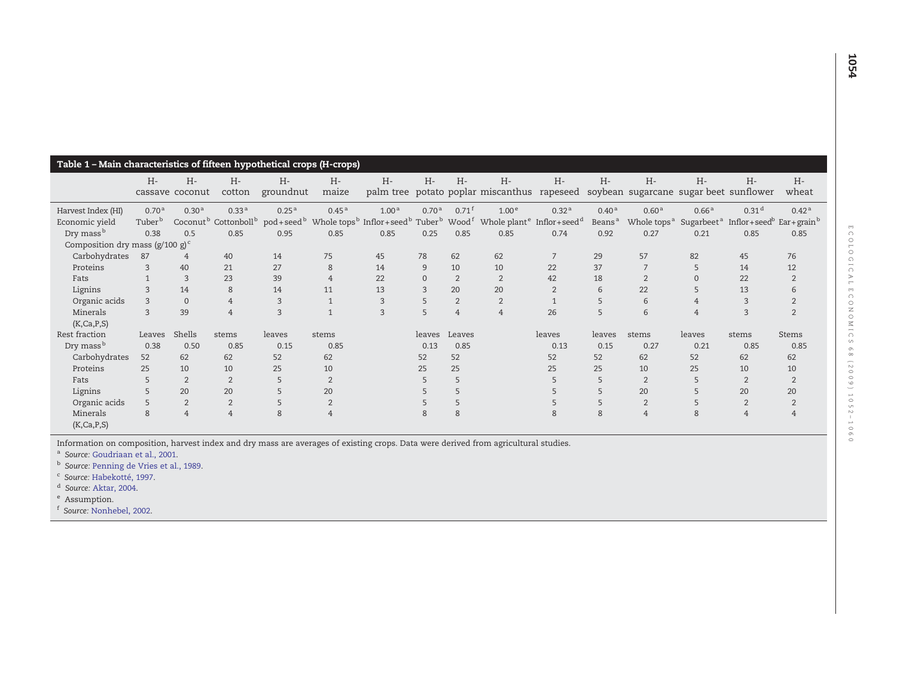<span id="page-2-0"></span>

| Table 1 - Main characteristics of fifteen hypothetical crops (H-crops)   |                                         |                          |                     |                      |                   |                   |                   |                     |                                                                                                                                                                                                                                 |                      |                                         |                                              |                                             |                                                                      |                   |
|--------------------------------------------------------------------------|-----------------------------------------|--------------------------|---------------------|----------------------|-------------------|-------------------|-------------------|---------------------|---------------------------------------------------------------------------------------------------------------------------------------------------------------------------------------------------------------------------------|----------------------|-----------------------------------------|----------------------------------------------|---------------------------------------------|----------------------------------------------------------------------|-------------------|
|                                                                          | $H -$                                   | $H -$<br>cassave coconut | $H -$<br>cotton     | $H -$<br>groundnut   | $H -$<br>maize    | $H -$             | $H -$             | $H -$               | $H -$<br>palm tree potato poplar miscanthus rapeseed soybean sugarcane sugar beet sunflower                                                                                                                                     | $H -$                | $H -$                                   | $H -$                                        | $H -$                                       | $H -$                                                                | $H -$<br>wheat    |
| Harvest Index (HI)<br>Economic yield                                     | 0.70 <sup>a</sup><br>Tuber <sup>b</sup> | 0.30 <sup>a</sup>        | 0.33 <sup>a</sup>   | 0.25 <sup>a</sup>    | 0.45 <sup>a</sup> | 1.00 <sup>a</sup> | 0.70 <sup>a</sup> | $0.71$ <sup>f</sup> | 1.00 <sup>e</sup><br>Coconut <sup>b</sup> Cottonboll <sup>b</sup> pod+seed <sup>b</sup> Whole tops <sup>b</sup> Inflor+seed <sup>b</sup> Tuber <sup>b</sup> Wood <sup>f</sup> Whole plant <sup>e</sup> Inflor+seed <sup>d</sup> | 0.32 <sup>a</sup>    | 0.40 <sup>a</sup><br>Beans <sup>a</sup> | 0.60 <sup>a</sup><br>Whole tops <sup>a</sup> | 0.66 <sup>a</sup><br>Sugarbeet <sup>a</sup> | 0.31 <sup>d</sup><br>Inflor+seed <sup>b</sup> Ear+grain <sup>b</sup> | 0.42 <sup>a</sup> |
| Dry mass <sup>b</sup><br>Composition dry mass ( $g/100 g$ ) <sup>c</sup> | 0.38                                    | 0.5                      | 0.85                | 0.95                 | 0.85              | 0.85              | 0.25              | 0.85                | 0.85                                                                                                                                                                                                                            | 0.74                 | 0.92                                    | 0.27                                         | 0.21                                        | 0.85                                                                 | 0.85              |
| Carbohydrates<br>Proteins                                                | 87<br>3                                 | $\overline{4}$<br>40     | 40<br>21            | 14<br>27             | 75<br>8           | 45<br>14          | 78<br>9           | 62<br>10            | 62<br>10                                                                                                                                                                                                                        | $\overline{7}$<br>22 | 29<br>37                                | 57                                           | 82<br>5                                     | 45<br>14                                                             | 76<br>12          |
| Fats                                                                     |                                         | 3                        | 23                  | 39                   | $\overline{4}$    | 22                | $\Omega$          | 2                   | 2                                                                                                                                                                                                                               | 42                   | 18                                      | $\overline{2}$                               | $\Omega$                                    | 22                                                                   |                   |
| Lignins<br>Organic acids                                                 | $\mathcal{R}$<br>$\mathcal{L}$          | 14<br>$\Omega$           | 8<br>$\overline{4}$ | 14<br>$\overline{3}$ | 11                | 13<br>3           | 3<br>5            | 20<br>2             | 20<br>2                                                                                                                                                                                                                         | $\overline{2}$       | 6<br>5                                  | 22<br>6                                      | 5<br>$\overline{4}$                         | 13<br>$\mathcal{R}$                                                  |                   |
| Minerals<br>(K, Ca, P, S)                                                | 3                                       | 39                       | $\overline{4}$      | 3                    |                   | 3                 | 5                 | $\overline{4}$      | $\overline{4}$                                                                                                                                                                                                                  | 26                   | 5                                       | 6                                            | $\overline{4}$                              | $\mathcal{R}$                                                        | $\overline{2}$    |
| Rest fraction                                                            | Leaves                                  | Shells                   | stems               | leaves               | stems             |                   | leaves            | Leaves              |                                                                                                                                                                                                                                 | leaves               | leaves                                  | stems                                        | leaves                                      | stems                                                                | <b>Stems</b>      |
| Dry mass <sup>b</sup>                                                    | 0.38                                    | 0.50                     | 0.85                | 0.15                 | 0.85              |                   | 0.13              | 0.85                |                                                                                                                                                                                                                                 | 0.13                 | 0.15                                    | 0.27                                         | 0.21                                        | 0.85                                                                 | 0.85              |
| Carbohydrates                                                            | 52                                      | 62                       | 62                  | 52                   | 62                |                   | 52                | 52                  |                                                                                                                                                                                                                                 | 52                   | 52                                      | 62                                           | 52                                          | 62                                                                   | 62                |
| Proteins                                                                 | 25                                      | 10                       | 10                  | 25                   | 10                |                   | 25                | 25                  |                                                                                                                                                                                                                                 | 25                   | 25                                      | 10                                           | 25                                          | 10                                                                   | 10                |
| Fats                                                                     | 5                                       | $\overline{2}$           | $\overline{2}$      | 5                    | $\overline{2}$    |                   | 5                 | 5                   |                                                                                                                                                                                                                                 |                      | 5                                       | $\overline{2}$                               | 5                                           | $\overline{2}$                                                       | $\overline{2}$    |
| Lignins                                                                  |                                         | 20                       | 20                  |                      | 20                |                   |                   |                     |                                                                                                                                                                                                                                 |                      | 5                                       | 20                                           | 5                                           | 20                                                                   | 20                |
| Organic acids                                                            |                                         | $\overline{2}$           | $\overline{2}$      |                      | $\overline{2}$    |                   |                   |                     |                                                                                                                                                                                                                                 |                      | 5                                       | $\overline{2}$                               | 5                                           | $\overline{2}$                                                       | $\overline{2}$    |
| Minerals<br>(K, Ca, P, S)                                                | 8                                       | $\overline{4}$           | $\overline{4}$      | 8                    | $\overline{4}$    |                   | 8                 | 8                   |                                                                                                                                                                                                                                 | 8                    | 8                                       | $\overline{4}$                               | 8                                           | $\overline{4}$                                                       | $\overline{4}$    |

Information on composition, harvest index and dry mass are averages of existing crops. Data were derived from agricultural studies.<br><sup>a</sup> Source: [Goudriaan](#page-7-0) et al., 2001.

<sup>b</sup> Source: [Penning](#page-8-0) de Vries et al., 1989.

<sup>c</sup> Source: [Habekotté,](#page-7-0) 1997.

<sup>d</sup> Source: [Aktar,](#page-7-0) 2004.

e Assumption.

f Source: [Nonhebel,](#page-8-0) 2002.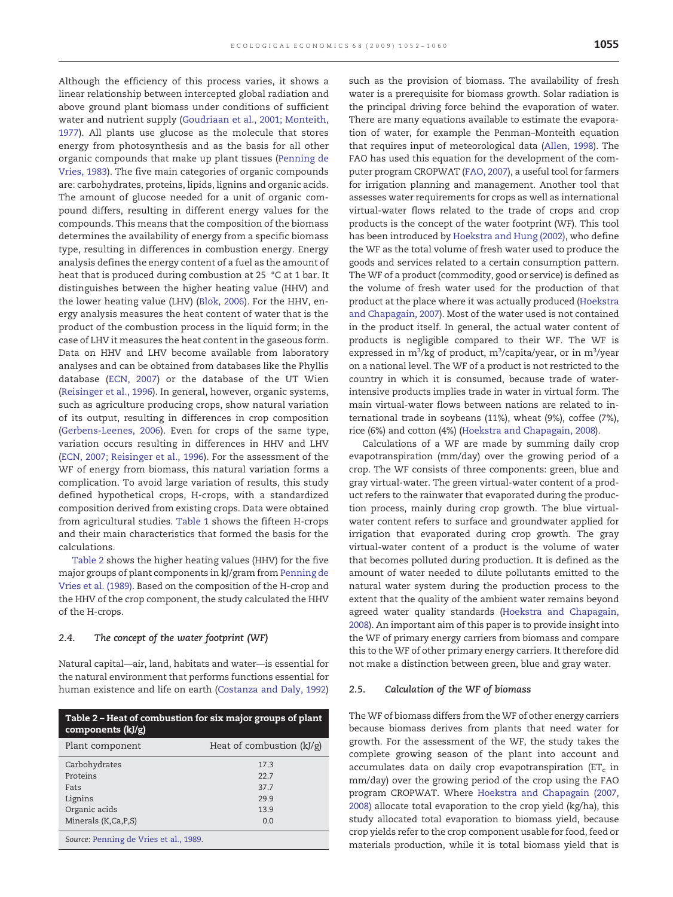<span id="page-3-0"></span>Although the efficiency of this process varies, it shows a linear relationship between intercepted global radiation and above ground plant biomass under conditions of sufficient water and nutrient supply ([Goudriaan et al., 2001; Monteith,](#page-7-0) [1977\)](#page-7-0). All plants use glucose as the molecule that stores energy from photosynthesis and as the basis for all other organic compounds that make up plant tissues [\(Penning de](#page-8-0) [Vries, 1983\)](#page-8-0). The five main categories of organic compounds are: carbohydrates, proteins, lipids, lignins and organic acids. The amount of glucose needed for a unit of organic compound differs, resulting in different energy values for the compounds. This means that the composition of the biomass determines the availability of energy from a specific biomass type, resulting in differences in combustion energy. Energy analysis defines the energy content of a fuel as the amount of heat that is produced during combustion at 25 °C at 1 bar. It distinguishes between the higher heating value (HHV) and the lower heating value (LHV) [\(Blok, 2006](#page-7-0)). For the HHV, energy analysis measures the heat content of water that is the product of the combustion process in the liquid form; in the case of LHV it measures the heat content in the gaseous form. Data on HHV and LHV become available from laboratory analyses and can be obtained from databases like the Phyllis database [\(ECN, 2007](#page-7-0)) or the database of the UT Wien [\(Reisinger et al., 1996\)](#page-8-0). In general, however, organic systems, such as agriculture producing crops, show natural variation of its output, resulting in differences in crop composition [\(Gerbens-Leenes, 2006](#page-7-0)). Even for crops of the same type, variation occurs resulting in differences in HHV and LHV [\(ECN, 2007; Reisinger et al., 1996](#page-7-0)). For the assessment of the WF of energy from biomass, this natural variation forms a complication. To avoid large variation of results, this study defined hypothetical crops, H-crops, with a standardized composition derived from existing crops. Data were obtained from agricultural studies. [Table 1](#page-2-0) shows the fifteen H-crops and their main characteristics that formed the basis for the calculations.

Table 2 shows the higher heating values (HHV) for the five major groups of plant components in kJ/gram from [Penning de](#page-8-0) [Vries et al. \(1989\).](#page-8-0) Based on the composition of the H-crop and the HHV of the crop component, the study calculated the HHV of the H-crops.

#### 2.4. The concept of the water footprint (WF)

Natural capital—air, land, habitats and water—is essential for the natural environment that performs functions essential for human existence and life on earth ([Costanza and Daly, 1992\)](#page-7-0)

| Table 2 - Heat of combustion for six major groups of plant<br>components $(kJ/g)$    |                                           |  |  |  |  |  |
|--------------------------------------------------------------------------------------|-------------------------------------------|--|--|--|--|--|
| Plant component                                                                      | Heat of combustion $(kJ/g)$               |  |  |  |  |  |
| Carbohydrates<br>Proteins<br>Fats<br>Lignins<br>Organic acids<br>Minerals (K,Ca,P,S) | 173<br>227<br>37.7<br>29.9<br>13.9<br>0.0 |  |  |  |  |  |
| Source: Penning de Vries et al., 1989.                                               |                                           |  |  |  |  |  |

such as the provision of biomass. The availability of fresh water is a prerequisite for biomass growth. Solar radiation is the principal driving force behind the evaporation of water. There are many equations available to estimate the evaporation of water, for example the Penman–Monteith equation that requires input of meteorological data ([Allen, 1998](#page-7-0)). The FAO has used this equation for the development of the computer program CROPWAT ([FAO, 2007](#page-7-0)), a useful tool for farmers for irrigation planning and management. Another tool that assesses water requirements for crops as well as international virtual-water flows related to the trade of crops and crop products is the concept of the water footprint (WF). This tool has been introduced by [Hoekstra and Hung \(2002\)](#page-7-0), who define the WF as the total volume of fresh water used to produce the goods and services related to a certain consumption pattern. The WF of a product (commodity, good or service) is defined as the volume of fresh water used for the production of that product at the place where it was actually produced [\(Hoekstra](#page-7-0) [and Chapagain, 2007\)](#page-7-0). Most of the water used is not contained in the product itself. In general, the actual water content of products is negligible compared to their WF. The WF is expressed in m<sup>3</sup>/kg of product, m<sup>3</sup>/capita/year, or in m<sup>3</sup>/year on a national level. The WF of a product is not restricted to the country in which it is consumed, because trade of waterintensive products implies trade in water in virtual form. The main virtual-water flows between nations are related to international trade in soybeans (11%), wheat (9%), coffee (7%), rice (6%) and cotton (4%) [\(Hoekstra and Chapagain, 2008](#page-7-0)).

Calculations of a WF are made by summing daily crop evapotranspiration (mm/day) over the growing period of a crop. The WF consists of three components: green, blue and gray virtual-water. The green virtual-water content of a product refers to the rainwater that evaporated during the production process, mainly during crop growth. The blue virtualwater content refers to surface and groundwater applied for irrigation that evaporated during crop growth. The gray virtual-water content of a product is the volume of water that becomes polluted during production. It is defined as the amount of water needed to dilute pollutants emitted to the natural water system during the production process to the extent that the quality of the ambient water remains beyond agreed water quality standards [\(Hoekstra and Chapagain,](#page-7-0) [2008](#page-7-0)). An important aim of this paper is to provide insight into the WF of primary energy carriers from biomass and compare this to the WF of other primary energy carriers. It therefore did not make a distinction between green, blue and gray water.

#### 2.5. Calculation of the WF of biomass

The WF of biomass differs from the WF of other energy carriers because biomass derives from plants that need water for growth. For the assessment of the WF, the study takes the complete growing season of the plant into account and accumulates data on daily crop evapotranspiration ( $ET_c$  in mm/day) over the growing period of the crop using the FAO program CROPWAT. Where [Hoekstra and Chapagain \(2007,](#page-7-0) [2008\)](#page-7-0) allocate total evaporation to the crop yield (kg/ha), this study allocated total evaporation to biomass yield, because crop yields refer to the crop component usable for food, feed or materials production, while it is total biomass yield that is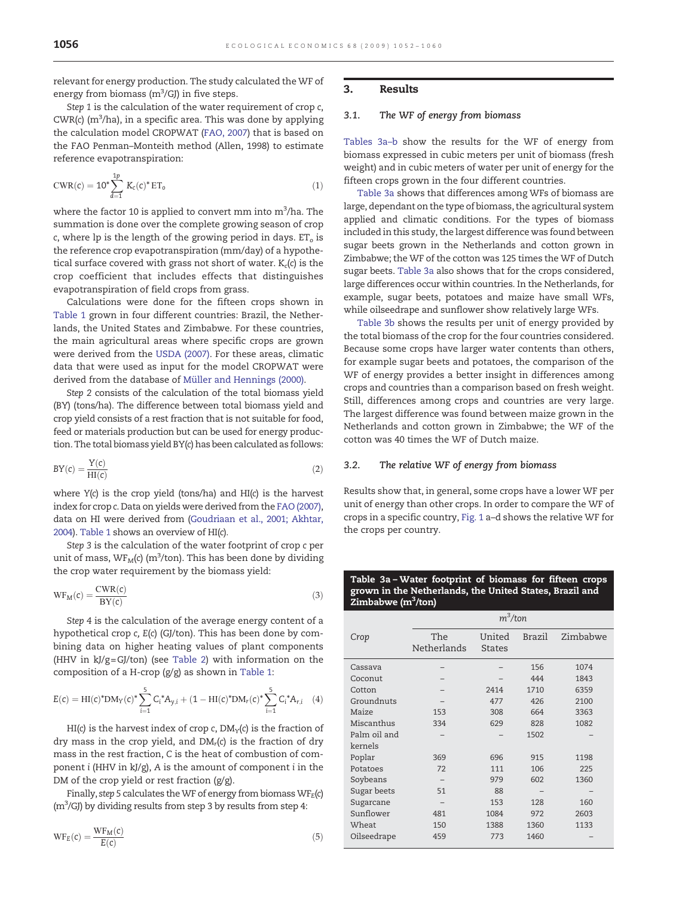relevant for energy production. The study calculated the WF of energy from biomass ( $m<sup>3</sup>/GJ$ ) in five steps.

Step 1 is the calculation of the water requirement of crop c,  $CWR(c)$  (m<sup>3</sup>/ha), in a specific area. This was done by applying the calculation model CROPWAT ([FAO, 2007](#page-7-0)) that is based on the FAO Penman–Monteith method (Allen, 1998) to estimate reference evapotranspiration:

$$
CWR(c) = 10^* \sum_{d=1}^{1p} K_c(c)^* ET_o
$$
 (1)

where the factor 10 is applied to convert mm into  $\mathrm{m}^3\mathrm{/ha}.$  The summation is done over the complete growing season of crop c, where lp is the length of the growing period in days.  $ET<sub>o</sub>$  is the reference crop evapotranspiration (mm/day) of a hypothetical surface covered with grass not short of water.  $K_c(c)$  is the crop coefficient that includes effects that distinguishes evapotranspiration of field crops from grass.

Calculations were done for the fifteen crops shown in [Table 1](#page-2-0) grown in four different countries: Brazil, the Netherlands, the United States and Zimbabwe. For these countries, the main agricultural areas where specific crops are grown were derived from the [USDA \(2007\).](#page-8-0) For these areas, climatic data that were used as input for the model CROPWAT were derived from the database of [Müller and Hennings \(2000\)](#page-8-0).

Step 2 consists of the calculation of the total biomass yield (BY) (tons/ha). The difference between total biomass yield and crop yield consists of a rest fraction that is not suitable for food, feed or materials production but can be used for energy production. The total biomass yield BY(c) has been calculated as follows:

$$
BY(c) = \frac{Y(c)}{HI(c)}\tag{2}
$$

where Y(c) is the crop yield (tons/ha) and HI(c) is the harvest index for crop c. Data on yields were derived from the [FAO \(2007\)](#page-7-0), data on HI were derived from ([Goudriaan et al., 2001; Akhtar,](#page-7-0) [2004](#page-7-0)). [Table 1](#page-2-0) shows an overview of HI(c).

Step 3 is the calculation of the water footprint of crop c per unit of mass,  $\text{WF}_{\text{M}}(\text{c})$  (m<sup>3</sup>/ton). This has been done by dividing the crop water requirement by the biomass yield:

$$
WF_M(c) = \frac{CWR(c)}{BY(c)}
$$
\n(3)

Step 4 is the calculation of the average energy content of a hypothetical crop c, E(c) (GJ/ton). This has been done by combining data on higher heating values of plant components (HHV in kJ/g=GJ/ton) (see [Table 2](#page-3-0)) with information on the composition of a H-crop (g/g) as shown in [Table 1:](#page-2-0)

$$
E(c) = HI(c)^* DM_Y(c)^* \sum_{i=1}^5 C_i^* A_{y,i} + (1 - HI(c)^* DM_r(c)^* \sum_{i=1}^5 C_i^* A_{r,i} \quad (4)
$$

HI(c) is the harvest index of crop c,  $DM_Y(c)$  is the fraction of dry mass in the crop yield, and  $DM<sub>r</sub>(c)$  is the fraction of dry mass in the rest fraction, C is the heat of combustion of component i (HHV in kJ/g), A is the amount of component i in the DM of the crop yield or rest fraction (g/g).

Finally, step 5 calculates the WF of energy from biomass  $WF_E(c)$  $(m<sup>3</sup>/GJ)$  by dividing results from step 3 by results from step 4:

$$
WF_E(c) = \frac{WF_M(c)}{E(c)}\tag{5}
$$

#### 3. Results

# 3.1. The WF of energy from biomass

Tables 3a–b show the results for the WF of energy from biomass expressed in cubic meters per unit of biomass (fresh weight) and in cubic meters of water per unit of energy for the fifteen crops grown in the four different countries.

Table 3a shows that differences among WFs of biomass are large, dependant on the type of biomass, the agricultural system applied and climatic conditions. For the types of biomass included in this study, the largest difference was found between sugar beets grown in the Netherlands and cotton grown in Zimbabwe; the WF of the cotton was 125 times the WF of Dutch sugar beets. Table 3a also shows that for the crops considered, large differences occur within countries. In the Netherlands, for example, sugar beets, potatoes and maize have small WFs, while oilseedrape and sunflower show relatively large WFs.

[Table 3b](#page-5-0) shows the results per unit of energy provided by the total biomass of the crop for the four countries considered. Because some crops have larger water contents than others, for example sugar beets and potatoes, the comparison of the WF of energy provides a better insight in differences among crops and countries than a comparison based on fresh weight. Still, differences among crops and countries are very large. The largest difference was found between maize grown in the Netherlands and cotton grown in Zimbabwe; the WF of the cotton was 40 times the WF of Dutch maize.

#### 3.2. The relative WF of energy from biomass

Results show that, in general, some crops have a lower WF per unit of energy than other crops. In order to compare the WF of crops in a specific country, [Fig. 1](#page-5-0) a–d shows the relative WF for the crops per country.

#### Table 3a – Water footprint of biomass for fifteen crops grown in the Netherlands, the United States, Brazil and Zimbabwe (m<sup>3</sup>/ton)

|              | $m^3$ /ton         |                         |               |          |  |
|--------------|--------------------|-------------------------|---------------|----------|--|
| Crop         | The<br>Netherlands | United<br><b>States</b> | <b>Brazil</b> | Zimbabwe |  |
| Cassava      |                    |                         | 156           | 1074     |  |
| Coconut      |                    |                         | 444           | 1843     |  |
| Cotton       |                    | 2414                    | 1710          | 6359     |  |
| Groundnuts   |                    | 477                     | 426           | 2100     |  |
| Maize        | 153                | 308                     | 664           | 3363     |  |
| Miscanthus   | 334                | 629                     | 828           | 1082     |  |
| Palm oil and |                    |                         | 1502          |          |  |
| kernels      |                    |                         |               |          |  |
| Poplar       | 369                | 696                     | 915           | 1198     |  |
| Potatoes     | 72                 | 111                     | 106           | 225      |  |
| Soybeans     |                    | 979                     | 602           | 1360     |  |
| Sugar beets  | 51                 | 88                      |               |          |  |
| Sugarcane    |                    | 153                     | 128           | 160      |  |
| Sunflower    | 481                | 1084                    | 972           | 2603     |  |
| Wheat        | 150                | 1388                    | 1360          | 1133     |  |
| Oilseedrape  | 459                | 773                     | 1460          |          |  |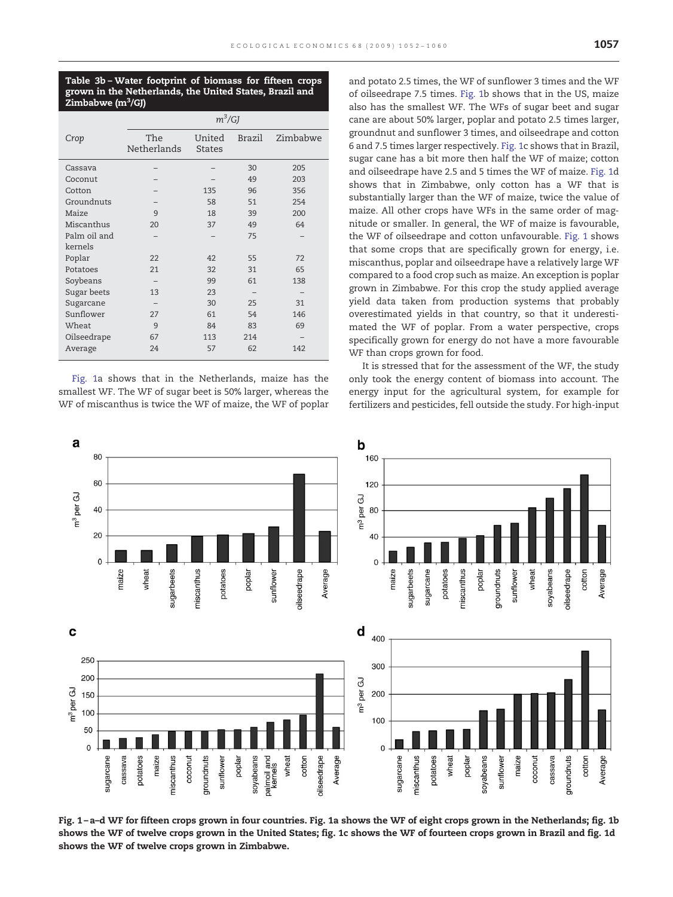<span id="page-5-0"></span>Table 3b – Water footprint of biomass for fifteen crops grown in the Netherlands, the United States, Brazil and Zimbabwe (m<sup>3</sup>/GJ)

|              | $m^3/GJ$    |               |                   |          |  |  |  |
|--------------|-------------|---------------|-------------------|----------|--|--|--|
| Crop         | The         | United        | Brazil            | Zimbabwe |  |  |  |
|              | Netherlands | <b>States</b> |                   |          |  |  |  |
| Cassava      |             |               | 30                | 205      |  |  |  |
| Coconut      |             |               | 49                | 203      |  |  |  |
| Cotton       |             | 135           | 96                | 356      |  |  |  |
| Groundnuts   |             | 58            | 51                | 254      |  |  |  |
| Maize        | 9           | 18            | 39                | 200      |  |  |  |
| Miscanthus   | 20          | 37            | 49                | 64       |  |  |  |
| Palm oil and |             |               | 75                |          |  |  |  |
| kernels      |             |               |                   |          |  |  |  |
| Poplar       | 22          | 42            | 55                | 72       |  |  |  |
| Potatoes     | 21          | 32            | 31                | 65       |  |  |  |
| Soybeans     |             | 99            | 61                | 138      |  |  |  |
| Sugar beets  | 13          | 23            | $\qquad \qquad -$ |          |  |  |  |
| Sugarcane    |             | 30            | 25                | 31       |  |  |  |
| Sunflower    | 27          | 61            | 54                | 146      |  |  |  |
| Wheat        | 9           | 84            | 83                | 69       |  |  |  |
| Oilseedrape  | 67          | 113           | 214               |          |  |  |  |
| Average      | 24          | 57            | 62                | 142      |  |  |  |

Fig. 1a shows that in the Netherlands, maize has the smallest WF. The WF of sugar beet is 50% larger, whereas the WF of miscanthus is twice the WF of maize, the WF of poplar and potato 2.5 times, the WF of sunflower 3 times and the WF of oilseedrape 7.5 times. Fig. 1b shows that in the US, maize also has the smallest WF. The WFs of sugar beet and sugar cane are about 50% larger, poplar and potato 2.5 times larger, groundnut and sunflower 3 times, and oilseedrape and cotton 6 and 7.5 times larger respectively. Fig. 1c shows that in Brazil, sugar cane has a bit more then half the WF of maize; cotton and oilseedrape have 2.5 and 5 times the WF of maize. Fig. 1d shows that in Zimbabwe, only cotton has a WF that is substantially larger than the WF of maize, twice the value of maize. All other crops have WFs in the same order of magnitude or smaller. In general, the WF of maize is favourable, the WF of oilseedrape and cotton unfavourable. Fig. 1 shows that some crops that are specifically grown for energy, i.e. miscanthus, poplar and oilseedrape have a relatively large WF compared to a food crop such as maize. An exception is poplar grown in Zimbabwe. For this crop the study applied average yield data taken from production systems that probably overestimated yields in that country, so that it underestimated the WF of poplar. From a water perspective, crops specifically grown for energy do not have a more favourable WF than crops grown for food.

It is stressed that for the assessment of the WF, the study only took the energy content of biomass into account. The energy input for the agricultural system, for example for fertilizers and pesticides, fell outside the study. For high-input



Fig. 1 – a–d WF for fifteen crops grown in four countries. Fig. 1a shows the WF of eight crops grown in the Netherlands; fig. 1b shows the WF of twelve crops grown in the United States; fig. 1c shows the WF of fourteen crops grown in Brazil and fig. 1d shows the WF of twelve crops grown in Zimbabwe.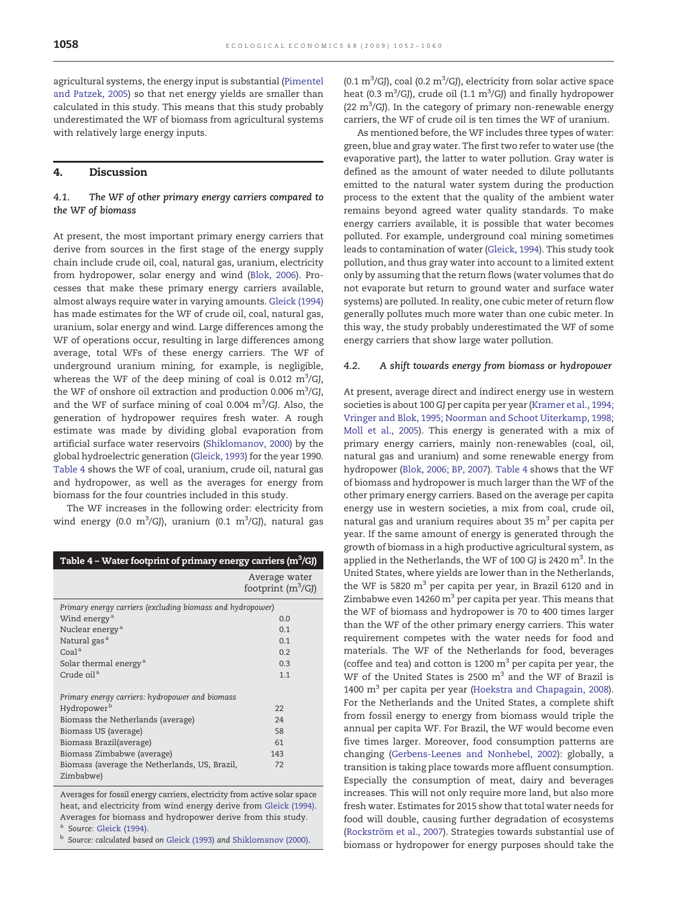agricultural systems, the energy input is substantial ([Pimentel](#page-8-0) [and Patzek, 2005](#page-8-0)) so that net energy yields are smaller than calculated in this study. This means that this study probably underestimated the WF of biomass from agricultural systems with relatively large energy inputs.

# 4. Discussion

# 4.1. The WF of other primary energy carriers compared to the WF of biomass

At present, the most important primary energy carriers that derive from sources in the first stage of the energy supply chain include crude oil, coal, natural gas, uranium, electricity from hydropower, solar energy and wind [\(Blok, 2006\)](#page-7-0). Processes that make these primary energy carriers available, almost always require water in varying amounts. [Gleick \(1994\)](#page-7-0) has made estimates for the WF of crude oil, coal, natural gas, uranium, solar energy and wind. Large differences among the WF of operations occur, resulting in large differences among average, total WFs of these energy carriers. The WF of underground uranium mining, for example, is negligible, whereas the WF of the deep mining of coal is 0.012  $\mathrm{m}^3\mathrm{/GJ},$ the WF of onshore oil extraction and production 0.006  $\mathrm{m}^3/\mathrm{GJ}$ , and the WF of surface mining of coal 0.004  $\text{m}^3/\text{GJ}$ . Also, the generation of hydropower requires fresh water. A rough estimate was made by dividing global evaporation from artificial surface water reservoirs [\(Shiklomanov, 2000](#page-8-0)) by the global hydroelectric generation [\(Gleick, 1993\)](#page-7-0) for the year 1990. Table 4 shows the WF of coal, uranium, crude oil, natural gas and hydropower, as well as the averages for energy from biomass for the four countries included in this study.

The WF increases in the following order: electricity from wind energy (0.0 m<sup>3</sup>/GJ), uranium (0.1 m<sup>3</sup>/GJ), natural gas

| Table 4 – Water footprint of primary energy carriers (m <sup>3</sup> /GJ) |                                       |
|---------------------------------------------------------------------------|---------------------------------------|
|                                                                           | Average water<br>footprint $(m^3/GJ)$ |
| Primary energy carriers (excluding biomass and hydropower)                |                                       |
| Wind energy <sup>a</sup>                                                  | 0.0                                   |
| Nuclear energy <sup>a</sup>                                               | 0.1                                   |
| Natural gas <sup>a</sup>                                                  | 0.1                                   |
| Coal <sup>a</sup>                                                         | 0.2                                   |
| Solar thermal energy <sup>a</sup>                                         | 0.3                                   |
| Crude oil <sup>a</sup>                                                    | 1.1                                   |
| Primary energy carriers: hydropower and biomass                           |                                       |
| Hydropower <sup>b</sup>                                                   | 22                                    |
| Biomass the Netherlands (average)                                         | 24                                    |
| Biomass US (average)                                                      | 58                                    |
| Biomass Brazil(average)                                                   | 61                                    |
| Biomass Zimbabwe (average)                                                | 143                                   |
| Biomass (average the Netherlands, US, Brazil,<br>Zimbabwe)                | 72                                    |

Averages for fossil energy carriers, electricity from active solar space heat, and electricity from wind energy derive from [Gleick \(1994\).](#page-7-0) Averages for biomass and hydropower derive from this study.

Source: [Gleick \(1994\).](#page-7-0)

b Source: calculated based on [Gleick \(1993\)](#page-7-0) and [Shiklomanov \(2000\).](#page-8-0)

(0.1  $\rm m^3/G$ J), coal (0.2  $\rm m^3/G$ J), electricity from solar active space heat (0.3  $\mathrm{m}^3$ /GJ), crude oil (1.1  $\mathrm{m}^3$ /GJ) and finally hydropower (22  $\mathrm{m}^3$ /GJ). In the category of primary non-renewable energy carriers, the WF of crude oil is ten times the WF of uranium.

As mentioned before, the WF includes three types of water: green, blue and gray water. The first two refer to water use (the evaporative part), the latter to water pollution. Gray water is defined as the amount of water needed to dilute pollutants emitted to the natural water system during the production process to the extent that the quality of the ambient water remains beyond agreed water quality standards. To make energy carriers available, it is possible that water becomes polluted. For example, underground coal mining sometimes leads to contamination of water ([Gleick, 1994](#page-7-0)). This study took pollution, and thus gray water into account to a limited extent only by assuming that the return flows (water volumes that do not evaporate but return to ground water and surface water systems) are polluted. In reality, one cubic meter of return flow generally pollutes much more water than one cubic meter. In this way, the study probably underestimated the WF of some energy carriers that show large water pollution.

#### 4.2. A shift towards energy from biomass or hydropower

At present, average direct and indirect energy use in western societies is about 100 GJ per capita per year ([Kramer et al., 1994;](#page-8-0) [Vringer and Blok, 1995; Noorman and Schoot Uiterkamp, 1998;](#page-8-0) [Moll et al., 2005\)](#page-8-0). This energy is generated with a mix of primary energy carriers, mainly non-renewables (coal, oil, natural gas and uranium) and some renewable energy from hydropower [\(Blok, 2006; BP, 2007\)](#page-7-0). Table 4 shows that the WF of biomass and hydropower is much larger than the WF of the other primary energy carriers. Based on the average per capita energy use in western societies, a mix from coal, crude oil, natural gas and uranium requires about 35 m<sup>3</sup> per capita per year. If the same amount of energy is generated through the growth of biomass in a high productive agricultural system, as applied in the Netherlands, the WF of 100 GJ is 2420  $m^3$ . In the United States, where yields are lower than in the Netherlands, the WF is 5820  $m<sup>3</sup>$  per capita per year, in Brazil 6120 and in Zimbabwe even  $14260 \text{ m}^3$  per capita per year. This means that the WF of biomass and hydropower is 70 to 400 times larger than the WF of the other primary energy carriers. This water requirement competes with the water needs for food and materials. The WF of the Netherlands for food, beverages (coffee and tea) and cotton is 1200  $m<sup>3</sup>$  per capita per year, the WF of the United States is 2500  $m^3$  and the WF of Brazil is 1400  $\mathrm{m}^3$  per capita per year [\(Hoekstra and Chapagain, 2008\)](#page-7-0). For the Netherlands and the United States, a complete shift from fossil energy to energy from biomass would triple the annual per capita WF. For Brazil, the WF would become even five times larger. Moreover, food consumption patterns are changing ([Gerbens-Leenes and Nonhebel, 2002](#page-7-0)): globally, a transition is taking place towards more affluent consumption. Especially the consumption of meat, dairy and beverages increases. This will not only require more land, but also more fresh water. Estimates for 2015 show that total water needs for food will double, causing further degradation of ecosystems ([Rockström et al., 2007](#page-8-0)). Strategies towards substantial use of biomass or hydropower for energy purposes should take the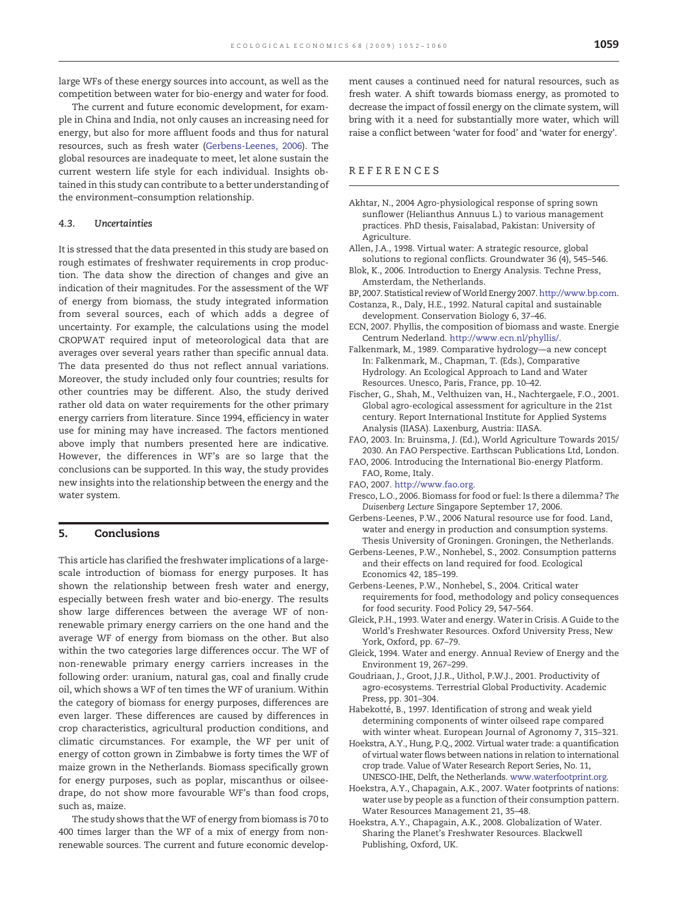<span id="page-7-0"></span>large WFs of these energy sources into account, as well as the competition between water for bio-energy and water for food.

The current and future economic development, for example in China and India, not only causes an increasing need for energy, but also for more affluent foods and thus for natural resources, such as fresh water (Gerbens-Leenes, 2006). The global resources are inadequate to meet, let alone sustain the current western life style for each individual. Insights obtained in this study can contribute to a better understanding of the environment–consumption relationship.

#### 4.3. Uncertainties

It is stressed that the data presented in this study are based on rough estimates of freshwater requirements in crop production. The data show the direction of changes and give an indication of their magnitudes. For the assessment of the WF of energy from biomass, the study integrated information from several sources, each of which adds a degree of uncertainty. For example, the calculations using the model CROPWAT required input of meteorological data that are averages over several years rather than specific annual data. The data presented do thus not reflect annual variations. Moreover, the study included only four countries; results for other countries may be different. Also, the study derived rather old data on water requirements for the other primary energy carriers from literature. Since 1994, efficiency in water use for mining may have increased. The factors mentioned above imply that numbers presented here are indicative. However, the differences in WF's are so large that the conclusions can be supported. In this way, the study provides new insights into the relationship between the energy and the water system.

# 5. Conclusions

This article has clarified the freshwater implications of a largescale introduction of biomass for energy purposes. It has shown the relationship between fresh water and energy, especially between fresh water and bio-energy. The results show large differences between the average WF of nonrenewable primary energy carriers on the one hand and the average WF of energy from biomass on the other. But also within the two categories large differences occur. The WF of non-renewable primary energy carriers increases in the following order: uranium, natural gas, coal and finally crude oil, which shows a WF of ten times the WF of uranium. Within the category of biomass for energy purposes, differences are even larger. These differences are caused by differences in crop characteristics, agricultural production conditions, and climatic circumstances. For example, the WF per unit of energy of cotton grown in Zimbabwe is forty times the WF of maize grown in the Netherlands. Biomass specifically grown for energy purposes, such as poplar, miscanthus or oilseedrape, do not show more favourable WF's than food crops, such as, maize.

The study shows that the WF of energy from biomass is 70 to 400 times larger than the WF of a mix of energy from nonrenewable sources. The current and future economic develop-

ment causes a continued need for natural resources, such as fresh water. A shift towards biomass energy, as promoted to decrease the impact of fossil energy on the climate system, will bring with it a need for substantially more water, which will raise a conflict between 'water for food' and 'water for energy'.

#### REFERENCES

- Akhtar, N., 2004 Agro-physiological response of spring sown sunflower (Helianthus Annuus L.) to various management practices. PhD thesis, Faisalabad, Pakistan: University of Agriculture.
- Allen, J.A., 1998. Virtual water: A strategic resource, global solutions to regional conflicts. Groundwater 36 (4), 545–546.
- Blok, K., 2006. Introduction to Energy Analysis. Techne Press, Amsterdam, the Netherlands.
- BP, 2007. Statistical review ofWorld Energy 2007. [http://www.bp.com.](http://www.bp.com)
- Costanza, R., Daly, H.E., 1992. Natural capital and sustainable development. Conservation Biology 6, 37–46.
- ECN, 2007. Phyllis, the composition of biomass and waste. Energie Centrum Nederland. [http://www.ecn.nl/phyllis/.](http://www.ecn.nl/phyllis/)
- Falkenmark, M., 1989. Comparative hydrology—a new concept In: Falkenmark, M., Chapman, T. (Eds.), Comparative Hydrology. An Ecological Approach to Land and Water Resources. Unesco, Paris, France, pp. 10–42.
- Fischer, G., Shah, M., Velthuizen van, H., Nachtergaele, F.O., 2001. Global agro-ecological assessment for agriculture in the 21st century. Report International Institute for Applied Systems Analysis (IIASA). Laxenburg, Austria: IIASA.
- FAO, 2003. In: Bruinsma, J. (Ed.), World Agriculture Towards 2015/ 2030. An FAO Perspective. Earthscan Publications Ltd, London.
- FAO, 2006. Introducing the International Bio-energy Platform. FAO, Rome, Italy.
- FAO, 2007. [http://www.fao.org.](http://www.fao.org)
- Fresco, L.O., 2006. Biomass for food or fuel: Is there a dilemma? The Duisenberg Lecture Singapore September 17, 2006.
- Gerbens-Leenes, P.W., 2006 Natural resource use for food. Land, water and energy in production and consumption systems. Thesis University of Groningen. Groningen, the Netherlands.
- Gerbens-Leenes, P.W., Nonhebel, S., 2002. Consumption patterns and their effects on land required for food. Ecological Economics 42, 185–199.
- Gerbens-Leenes, P.W., Nonhebel, S., 2004. Critical water requirements for food, methodology and policy consequences for food security. Food Policy 29, 547–564.
- Gleick, P.H., 1993. Water and energy. Water in Crisis. A Guide to the World's Freshwater Resources. Oxford University Press, New York, Oxford, pp. 67–79.
- Gleick, 1994. Water and energy. Annual Review of Energy and the Environment 19, 267–299.
- Goudriaan, J., Groot, J.J.R., Uithol, P.W.J., 2001. Productivity of agro-ecosystems. Terrestrial Global Productivity. Academic Press, pp. 301–304.
- Habekotté, B., 1997. Identification of strong and weak yield determining components of winter oilseed rape compared with winter wheat. European Journal of Agronomy 7, 315–321.
- Hoekstra, A.Y., Hung, P.Q., 2002. Virtual water trade: a quantification of virtual water flows between nations in relation to international crop trade. Value of Water Research Report Series, No. 11, UNESCO-IHE, Delft, the Netherlands. [www.waterfootprint.org.](mailto:p.w.gerbens-leenes@utwente.nl)
- Hoekstra, A.Y., Chapagain, A.K., 2007. Water footprints of nations: water use by people as a function of their consumption pattern. Water Resources Management 21, 35–48.
- Hoekstra, A.Y., Chapagain, A.K., 2008. Globalization of Water. Sharing the Planet's Freshwater Resources. Blackwell Publishing, Oxford, UK.